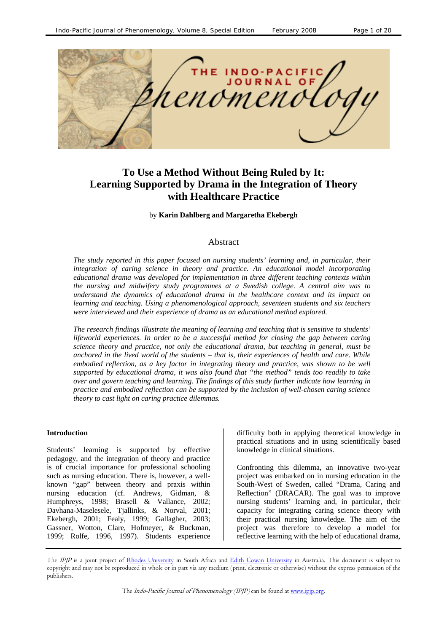

# **To Use a Method Without Being Ruled by It: Learning Supported by Drama in the Integration of Theory with Healthcare Practice**

by **Karin Dahlberg and Margaretha Ekebergh**

# Abstract

*The study reported in this paper focused on nursing students' learning and, in particular, their integration of caring science in theory and practice. An educational model incorporating educational drama was developed for implementation in three different teaching contexts within the nursing and midwifery study programmes at a Swedish college. A central aim was to understand the dynamics of educational drama in the healthcare context and its impact on learning and teaching. Using a phenomenological approach, seventeen students and six teachers were interviewed and their experience of drama as an educational method explored.* 

*The research findings illustrate the meaning of learning and teaching that is sensitive to students' lifeworld experiences. In order to be a successful method for closing the gap between caring science theory and practice, not only the educational drama, but teaching in general, must be anchored in the lived world of the students* – *that is, their experiences of health and care. While embodied reflection, as a key factor in integrating theory and practice, was shown to be well supported by educational drama, it was also found that "the method" tends too readily to take over and govern teaching and learning. The findings of this study further indicate how learning in practice and embodied reflection can be supported by the inclusion of well-chosen caring science theory to cast light on caring practice dilemmas.* 

#### **Introduction**

Students' learning is supported by effective pedagogy, and the integration of theory and practice is of crucial importance for professional schooling such as nursing education. There is, however, a wellknown "gap" between theory and praxis within nursing education (cf. Andrews, Gidman, & Humphreys, 1998; Brasell & Vallance, 2002; Davhana-Maselesele, Tjallinks, & Norval, 2001; Ekebergh, 2001; Fealy, 1999; Gallagher, 2003; Gassner, Wotton, Clare, Hofmeyer, & Buckman, 1999; Rolfe, 1996, 1997). Students experience

difficulty both in applying theoretical knowledge in practical situations and in using scientifically based knowledge in clinical situations.

Confronting this dilemma, an innovative two-year project was embarked on in nursing education in the South-West of Sweden, called "Drama, Caring and Reflection" (DRACAR). The goal was to improve nursing students' learning and, in particular, their capacity for integrating caring science theory with their practical nursing knowledge. The aim of the project was therefore to develop a model for reflective learning with the help of educational drama,

The IPJP is a joint project of Rhodes University in South Africa and Edith Cowan University in Australia. This document is subject to copyright and may not be reproduced in whole or in part via any medium (print, electronic or otherwise) without the express permission of the publishers.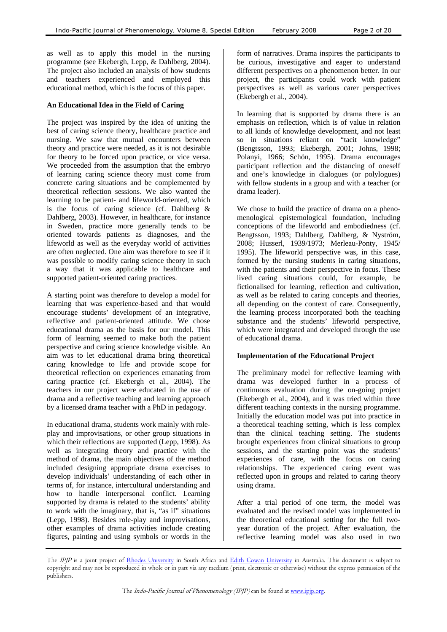as well as to apply this model in the nursing programme (see Ekebergh, Lepp, & Dahlberg, 2004). The project also included an analysis of how students and teachers experienced and employed this educational method, which is the focus of this paper.

# **An Educational Idea in the Field of Caring**

The project was inspired by the idea of uniting the best of caring science theory, healthcare practice and nursing. We saw that mutual encounters between theory and practice were needed, as it is not desirable for theory to be forced upon practice, or vice versa. We proceeded from the assumption that the embryo of learning caring science theory must come from concrete caring situations and be complemented by theoretical reflection sessions. We also wanted the learning to be patient- and lifeworld-oriented, which is the focus of caring science (cf. Dahlberg & Dahlberg, 2003). However, in healthcare, for instance in Sweden, practice more generally tends to be oriented towards patients as diagnoses, and the lifeworld as well as the everyday world of activities are often neglected. One aim was therefore to see if it was possible to modify caring science theory in such a way that it was applicable to healthcare and supported patient-oriented caring practices.

A starting point was therefore to develop a model for learning that was experience-based and that would encourage students' development of an integrative, reflective and patient-oriented attitude. We chose educational drama as the basis for our model. This form of learning seemed to make both the patient perspective and caring science knowledge visible. An aim was to let educational drama bring theoretical caring knowledge to life and provide scope for theoretical reflection on experiences emanating from caring practice (cf. Ekebergh et al., 2004). The teachers in our project were educated in the use of drama and a reflective teaching and learning approach by a licensed drama teacher with a PhD in pedagogy.

In educational drama, students work mainly with roleplay and improvisations, or other group situations in which their reflections are supported (Lepp, 1998). As well as integrating theory and practice with the method of drama, the main objectives of the method included designing appropriate drama exercises to develop individuals' understanding of each other in terms of, for instance, intercultural understanding and how to handle interpersonal conflict. Learning supported by drama is related to the students' ability to work with the imaginary, that is, "as if" situations (Lepp, 1998). Besides role-play and improvisations, other examples of drama activities include creating figures, painting and using symbols or words in the

form of narratives. Drama inspires the participants to be curious, investigative and eager to understand different perspectives on a phenomenon better. In our project, the participants could work with patient perspectives as well as various carer perspectives (Ekebergh et al., 2004).

In learning that is supported by drama there is an emphasis on reflection, which is of value in relation to all kinds of knowledge development, and not least so in situations reliant on "tacit knowledge" (Bengtsson, 1993; Ekebergh, 2001; Johns, 1998; Polanyi, 1966; Schön, 1995). Drama encourages participant reflection and the distancing of oneself and one's knowledge in dialogues (or polylogues) with fellow students in a group and with a teacher (or drama leader).

We chose to build the practice of drama on a phenomenological epistemological foundation, including conceptions of the lifeworld and embodiedness (cf. Bengtsson, 1993; Dahlberg, Dahlberg, & Nyström, 2008; Husserl, 1939/1973; Merleau-Ponty, 1945/ 1995). The lifeworld perspective was, in this case, formed by the nursing students in caring situations, with the patients and their perspective in focus. These lived caring situations could, for example, be fictionalised for learning, reflection and cultivation, as well as be related to caring concepts and theories, all depending on the context of care. Consequently, the learning process incorporated both the teaching substance and the students' lifeworld perspective, which were integrated and developed through the use of educational drama.

# **Implementation of the Educational Project**

The preliminary model for reflective learning with drama was developed further in a process of continuous evaluation during the on-going project (Ekebergh et al., 2004), and it was tried within three different teaching contexts in the nursing programme. Initially the education model was put into practice in a theoretical teaching setting, which is less complex than the clinical teaching setting. The students brought experiences from clinical situations to group sessions, and the starting point was the students' experiences of care, with the focus on caring relationships. The experienced caring event was reflected upon in groups and related to caring theory using drama.

After a trial period of one term, the model was evaluated and the revised model was implemented in the theoretical educational setting for the full twoyear duration of the project. After evaluation, the reflective learning model was also used in two

The IPJP is a joint project of Rhodes University in South Africa and Edith Cowan University in Australia. This document is subject to copyright and may not be reproduced in whole or in part via any medium (print, electronic or otherwise) without the express permission of the publishers.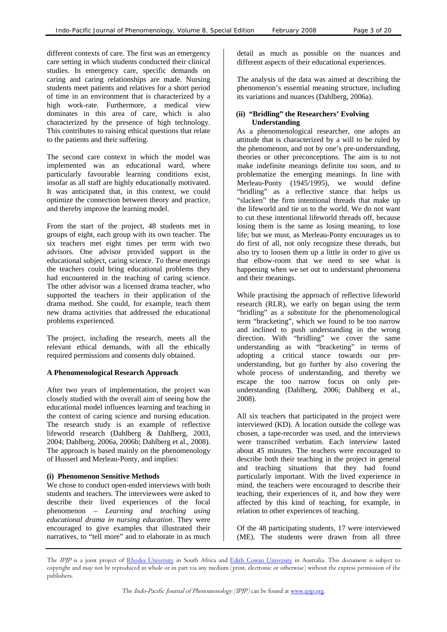different contexts of care. The first was an emergency care setting in which students conducted their clinical studies. In emergency care, specific demands on caring and caring relationships are made. Nursing students meet patients and relatives for a short period of time in an environment that is characterized by a high work-rate. Furthermore, a medical view dominates in this area of care, which is also characterized by the presence of high technology. This contributes to raising ethical questions that relate to the patients and their suffering.

The second care context in which the model was implemented was an educational ward, where particularly favourable learning conditions exist, insofar as all staff are highly educationally motivated. It was anticipated that, in this context, we could optimize the connection between theory and practice, and thereby improve the learning model.

From the start of the project, 48 students met in groups of eight, each group with its own teacher. The six teachers met eight times per term with two advisors. One advisor provided support in the educational subject, caring science. To these meetings the teachers could bring educational problems they had encountered in the teaching of caring science. The other advisor was a licensed drama teacher, who supported the teachers in their application of the drama method. She could, for example, teach them new drama activities that addressed the educational problems experienced.

The project, including the research, meets all the relevant ethical demands, with all the ethically required permissions and consents duly obtained.

# **A Phenomenological Research Approach**

After two years of implementation, the project was closely studied with the overall aim of seeing how the educational model influences learning and teaching in the context of caring science and nursing education. The research study is an example of reflective lifeworld research (Dahlberg & Dahlberg, 2003, 2004; Dahlberg, 2006a, 2006b; Dahlberg et al., 2008). The approach is based mainly on the phenomenology of Husserl and Merleau-Ponty, and implies:

## **(i) Phenomenon Sensitive Methods**

We chose to conduct open-ended interviews with both students and teachers. The interviewees were asked to describe their lived experiences of the focal phenomenon – *Learning and teaching using educational drama in nursing education*. They were encouraged to give examples that illustrated their narratives, to "tell more" and to elaborate in as much

detail as much as possible on the nuances and different aspects of their educational experiences.

The analysis of the data was aimed at describing the phenomenon's essential meaning structure, including its variations and nuances (Dahlberg, 2006a).

## **(ii) "Bridling" the Researchers' Evolving Understanding**

As a phenomenological researcher, one adopts an attitude that is characterized by a will to be ruled by the phenomenon, and not by one's pre-understanding, theories or other preconceptions. The aim is to not make indefinite meanings definite too soon, and to problematize the emerging meanings. In line with Merleau-Ponty (1945/1995), we would define "bridling" as a reflective stance that helps us "slacken" the firm intentional threads that make up the lifeworld and tie us to the world. We do not want to cut these intentional lifeworld threads off, because losing them is the same as losing meaning, to lose life; but we must, as Merleau-Ponty encourages us to do first of all, not only recognize these threads, but also try to loosen them up a little in order to give us that elbow-room that we need to see what is happening when we set out to understand phenomena and their meanings.

While practising the approach of reflective lifeworld research (RLR), we early on began using the term "bridling" as a substitute for the phenomenological term "bracketing", which we found to be too narrow and inclined to push understanding in the wrong direction. With "bridling" we cover the same understanding as with "bracketing" in terms of adopting a critical stance towards our preunderstanding, but go further by also covering the whole process of understanding, and thereby we escape the too narrow focus on only preunderstanding (Dahlberg, 2006; Dahlberg et al., 2008).

All six teachers that participated in the project were interviewed (KD). A location outside the college was chosen, a tape-recorder was used, and the interviews were transcribed verbatim. Each interview lasted about 45 minutes. The teachers were encouraged to describe both their teaching in the project in general and teaching situations that they had found particularly important. With the lived experience in mind, the teachers were encouraged to describe their teaching, their experiences of it, and how they were affected by this kind of teaching, for example, in relation to other experiences of teaching.

Of the 48 participating students, 17 were interviewed (ME). The students were drawn from all three

The IPJP is a joint project of Rhodes University in South Africa and Edith Cowan University in Australia. This document is subject to copyright and may not be reproduced in whole or in part via any medium (print, electronic or otherwise) without the express permission of the publishers.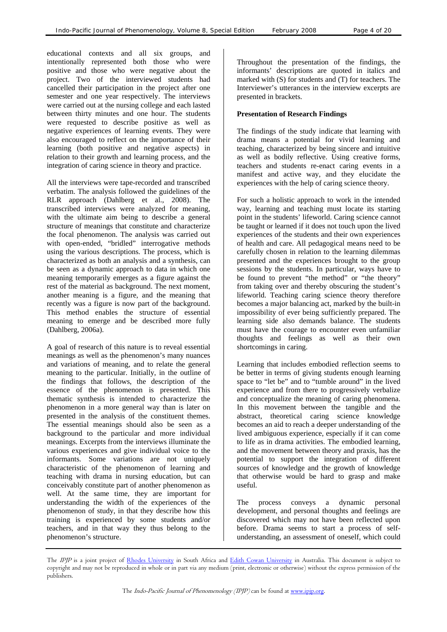educational contexts and all six groups, and intentionally represented both those who were positive and those who were negative about the project. Two of the interviewed students had cancelled their participation in the project after one semester and one year respectively. The interviews were carried out at the nursing college and each lasted between thirty minutes and one hour. The students were requested to describe positive as well as negative experiences of learning events. They were also encouraged to reflect on the importance of their learning (both positive and negative aspects) in relation to their growth and learning process, and the integration of caring science in theory and practice.

All the interviews were tape-recorded and transcribed verbatim. The analysis followed the guidelines of the RLR approach (Dahlberg et al., 2008). The transcribed interviews were analyzed for meaning, with the ultimate aim being to describe a general structure of meanings that constitute and characterize the focal phenomenon. The analysis was carried out with open-ended, "bridled" interrogative methods using the various descriptions. The process, which is characterized as both an analysis and a synthesis, can be seen as a dynamic approach to data in which one meaning temporarily emerges as a figure against the rest of the material as background. The next moment, another meaning is a figure, and the meaning that recently was a figure is now part of the background. This method enables the structure of essential meaning to emerge and be described more fully (Dahlberg, 2006a).

A goal of research of this nature is to reveal essential shortcomings in caring. meanings as well as the phenomenon's many nuances and variations of meaning, and to relate the general meaning to the particular. Initially, in the outline of the findings that follows, the description of the essence of the phenomenon is presented. This thematic synthesis is intended to characterize the phenomenon in a more general way than is later on presented in the analysis of the constituent themes. The essential meanings should also be seen as a background to the particular and more individual meanings. Excerpts from the interviews illuminate the various experiences and give individual voice to the informants. Some variations are not uniquely characteristic of the phenomenon of learning and teaching with drama in nursing education, but can conceivably constitute part of another phenomenon as well. At the same time, they are important for understanding the width of the experiences of the phenomenon of study, in that they describe how this training is experienced by some students and/or teachers, and in that way they thus belong to the phenomenon's structure.

Throughout the presentation of the findings, the informants' descriptions are quoted in italics and marked with (S) for students and (T) for teachers. The Interviewer's utterances in the interview excerpts are presented in brackets.

## **Presentation of Research Findings**

The findings of the study indicate that learning with drama means a potential for vivid learning and teaching, characterized by being sincere and intuitive as well as bodily reflective. Using creative forms, teachers and students re-enact caring events in a manifest and active way, and they elucidate the experiences with the help of caring science theory.

For such a holistic approach to work in the intended way, learning and teaching must locate its starting point in the students' lifeworld. Caring science cannot be taught or learned if it does not touch upon the lived experiences of the students and their own experiences of health and care. All pedagogical means need to be carefully chosen in relation to the learning dilemmas presented and the experiences brought to the group sessions by the students. In particular, ways have to be found to prevent "the method" or "the theory" from taking over and thereby obscuring the student's lifeworld. Teaching caring science theory therefore becomes a major balancing act, marked by the built-in impossibility of ever being sufficiently prepared. The learning side also demands balance. The students must have the courage to encounter even unfamiliar thoughts and feelings as well as their own

Learning that includes embodied reflection seems to be better in terms of giving students enough learning space to "let be" and to "tumble around" in the lived experience and from there to progressively verbalize and conceptualize the meaning of caring phenomena. In this movement between the tangible and the abstract, theoretical caring science knowledge becomes an aid to reach a deeper understanding of the lived ambiguous experience, especially if it can come to life as in drama activities. The embodied learning, and the movement between theory and praxis, has the potential to support the integration of different sources of knowledge and the growth of knowledge that otherwise would be hard to grasp and make useful.

The process conveys a dynamic personal development, and personal thoughts and feelings are discovered which may not have been reflected upon before. Drama seems to start a process of selfunderstanding, an assessment of oneself, which could

The IPJP is a joint project of Rhodes University in South Africa and Edith Cowan University in Australia. This document is subject to copyright and may not be reproduced in whole or in part via any medium (print, electronic or otherwise) without the express permission of the publishers.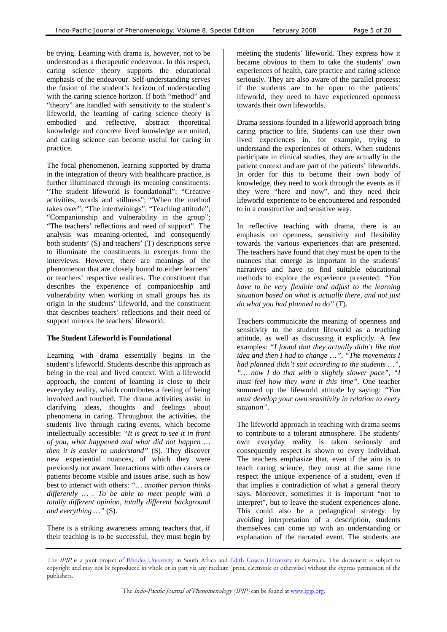be trying. Learning with drama is, however, not to be understood as a therapeutic endeavour. In this respect, caring science theory supports the educational emphasis of the endeavour. Self-understanding serves the fusion of the student's horizon of understanding with the caring science horizon. If both "method" and "theory" are handled with sensitivity to the student's lifeworld, the learning of caring science theory is embodied and reflective, abstract theoretical knowledge and concrete lived knowledge are united, and caring science can become useful for caring in practice.

The focal phenomenon, learning supported by drama in the integration of theory with healthcare practice, is further illuminated through its meaning constituents: "The student lifeworld is foundational"; "Creative activities, words and stillness"; "When the method takes over"; "The intertwinings"; "Teaching attitude"; "Companionship and vulnerability in the group"; "The teachers' reflections and need of support". The analysis was meaning-oriented, and consequently both students' (S) and teachers' (T) descriptions serve to illuminate the constituents in excerpts from the interviews. However, there are meanings of the phenomenon that are closely bound to either learners' or teachers' respective realities. The constituent that describes the experience of companionship and vulnerability when working in small groups has its origin in the students' lifeworld, and the constituent that describes teachers' reflections and their need of support mirrors the teachers' lifeworld.

# **The Student Lifeworld is Foundational**

Learning with drama essentially begins in the student's lifeworld. Students describe this approach as being in the real and lived context. With a lifeworld approach, the content of learning is close to their everyday reality, which contributes a feeling of being involved and touched. The drama activities assist in clarifying ideas, thoughts and feelings about phenomena in caring. Throughout the activities, the students live through caring events, which become intellectually accessible: *"It is great to see it in front of you, what happened and what did not happen … then it is easier to understand"* (S). They discover new experiential nuances, of which they were previously not aware. Interactions with other carers or patients become visible and issues arise, such as how best to interact with others: *"… another person thinks differently … . To be able to meet people with a totally different opinion, totally different background and everything …"* (S).

There is a striking awareness among teachers that, if their teaching is to be successful, they must begin by meeting the students' lifeworld. They express how it became obvious to them to take the students' own experiences of health, care practice and caring science seriously. They are also aware of the parallel process: if the students are to be open to the patients' lifeworld, they need to have experienced openness towards their own lifeworlds.

Drama sessions founded in a lifeworld approach bring caring practice to life. Students can use their own lived experiences in, for example, trying to understand the experiences of others. When students participate in clinical studies, they are actually in the patient context and are part of the patients' lifeworlds. In order for this to become their own body of knowledge, they need to work through the events as if they were "here and now", and they need their lifeworld experience to be encountered and responded to in a constructive and sensitive way.

In reflective teaching with drama, there is an emphasis on openness, sensitivity and flexibility towards the various experiences that are presented. The teachers have found that they must be open to the nuances that emerge as important in the students' narratives and have to find suitable educational methods to explore the experience presented: *"You have to be very flexible and adjust to the learning situation based on what is actually there, and not just do what you had planned to do"* (T).

Teachers communicate the meaning of openness and sensitivity to the student lifeworld as a teaching attitude, as well as discussing it explicitly. A few examples: *"I found that they actually didn't like that idea and then I had to change* …*"*, *"The movements I had planned didn't suit according to the students …"*, *"… now I do that with a slightly slower pace"*, *"I must feel how they want it this time"*. One teacher summed up the lifeworld attitude by saying: *"You must develop your own sensitivity in relation to every situation"*.

The lifeworld approach in teaching with drama seems to contribute to a tolerant atmosphere. The students' own everyday reality is taken seriously and consequently respect is shown to every individual. The teachers emphasize that, even if the aim is to teach caring science, they must at the same time respect the unique experience of a student, even if that implies a contradiction of what a general theory says. Moreover, sometimes it is important "not to interpret", but to leave the student experiences alone. This could also be a pedagogical strategy: by avoiding interpretation of a description, students themselves can come up with an understanding or explanation of the narrated event. The students are

The IPJP is a joint project of Rhodes University in South Africa and Edith Cowan University in Australia. This document is subject to copyright and may not be reproduced in whole or in part via any medium (print, electronic or otherwise) without the express permission of the publishers.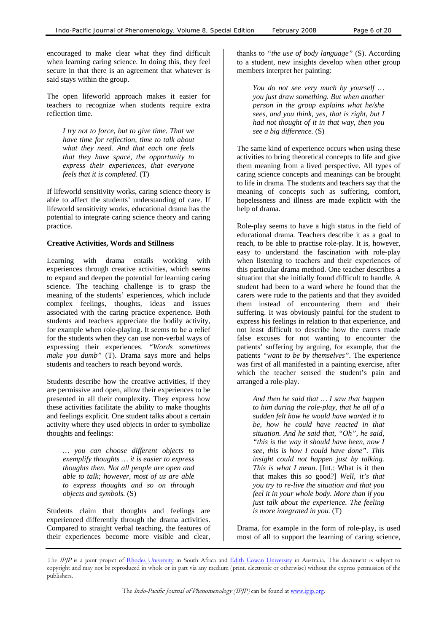encouraged to make clear what they find difficult when learning caring science. In doing this, they feel secure in that there is an agreement that whatever is said stays within the group.

The open lifeworld approach makes it easier for teachers to recognize when students require extra reflection time.

*I try not to force, but to give time. That we have time for reflection, time to talk about what they need. And that each one feels that they have space, the opportunity to express their experiences, that everyone feels that it is completed*. (T)

If lifeworld sensitivity works, caring science theory is able to affect the students' understanding of care. If lifeworld sensitivity works, educational drama has the potential to integrate caring science theory and caring practice.

## **Creative Activities, Words and Stillness**

Learning with drama entails working with experiences through creative activities, which seems to expand and deepen the potential for learning caring science. The teaching challenge is to grasp the meaning of the students' experiences, which include complex feelings, thoughts, ideas and issues associated with the caring practice experience. Both students and teachers appreciate the bodily activity, for example when role-playing. It seems to be a relief for the students when they can use non-verbal ways of expressing their experiences. *"Words sometimes make you dumb"* (T). Drama says more and helps students and teachers to reach beyond words.

Students describe how the creative activities, if they are permissive and open, allow their experiences to be presented in all their complexity. They express how these activities facilitate the ability to make thoughts and feelings explicit. One student talks about a certain activity where they used objects in order to symbolize thoughts and feelings:

*… you can choose different objects to exemplify thoughts … it is easier to express thoughts then. Not all people are open and able to talk; however, most of us are able to express thoughts and so on through objects and symbols.* (S)

Students claim that thoughts and feelings are experienced differently through the drama activities. Compared to straight verbal teaching, the features of their experiences become more visible and clear, thanks to *"the use of body language"* (S). According to a student, new insights develop when other group members interpret her painting:

*You do not see very much by yourself … you just draw something. But when another person in the group explains what he/she sees, and you think, yes, that is right, but I had not thought of it in that way, then you see a big difference.* (S)

The same kind of experience occurs when using these activities to bring theoretical concepts to life and give them meaning from a lived perspective. All types of caring science concepts and meanings can be brought to life in drama. The students and teachers say that the meaning of concepts such as suffering, comfort, hopelessness and illness are made explicit with the help of drama.

Role-play seems to have a high status in the field of educational drama. Teachers describe it as a goal to reach, to be able to practise role-play. It is, however, easy to understand the fascination with role-play when listening to teachers and their experiences of this particular drama method. One teacher describes a situation that she initially found difficult to handle. A student had been to a ward where he found that the carers were rude to the patients and that they avoided them instead of encountering them and their suffering. It was obviously painful for the student to express his feelings in relation to that experience, and not least difficult to describe how the carers made false excuses for not wanting to encounter the patients' suffering by arguing, for example, that the patients *"want to be by themselves"*. The experience was first of all manifested in a painting exercise, after which the teacher sensed the student's pain and arranged a role-play.

*And then he said that … I saw that happen to him during the role-play, that he all of a sudden felt how he would have wanted it to be, how he could have reacted in that situation. And he said that, "Oh", he said, "this is the way it should have been, now I see, this is how I could have done". This insight could not happen just by talking. This is what I mean*. [Int.: What is it then that makes this so good?] *Well, it's that you try to re-live the situation and that you feel it in your whole body. More than if you just talk about the experience. The feeling is more integrated in you.* (T)

Drama, for example in the form of role-play, is used most of all to support the learning of caring science,

The IPJP is a joint project of Rhodes University in South Africa and Edith Cowan University in Australia. This document is subject to copyright and may not be reproduced in whole or in part via any medium (print, electronic or otherwise) without the express permission of the publishers.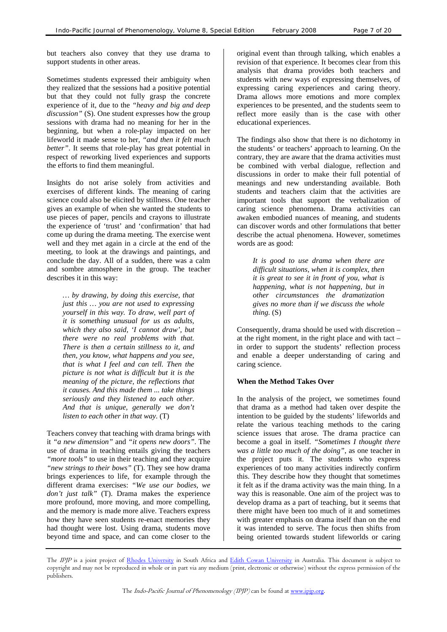but teachers also convey that they use drama to support students in other areas.

Sometimes students expressed their ambiguity when they realized that the sessions had a positive potential but that they could not fully grasp the concrete experience of it, due to the *"heavy and big and deep discussion"* (S). One student expresses how the group sessions with drama had no meaning for her in the beginning, but when a role-play impacted on her lifeworld it made sense to her, *"and then it felt much better"*. It seems that role-play has great potential in respect of reworking lived experiences and supports the efforts to find them meaningful.

Insights do not arise solely from activities and exercises of different kinds. The meaning of caring science could also be elicited by stillness. One teacher gives an example of when she wanted the students to use pieces of paper, pencils and crayons to illustrate the experience of 'trust' and 'confirmation' that had come up during the drama meeting. The exercise went well and they met again in a circle at the end of the meeting, to look at the drawings and paintings, and conclude the day. All of a sudden, there was a calm and sombre atmosphere in the group. The teacher describes it in this way:

*… by drawing, by doing this exercise, that just this … you are not used to expressing yourself in this way. To draw, well part of it is something unusual for us as adults, which they also said, 'I cannot draw', but there were no real problems with that. There is then a certain stillness to it, and then, you know, what happens and you see, that is what I feel and can tell. Then the picture is not what is difficult but it is the meaning of the picture, the reflections that it causes. And this made them ... take things seriously and they listened to each other. And that is unique, generally we don't listen to each other in that way.* (T)

Teachers convey that teaching with drama brings with it *"a new dimension"* and *"it opens new doors"*. The use of drama in teaching entails giving the teachers *"more tools"* to use in their teaching and they acquire *"new strings to their bows"* (T). They see how drama brings experiences to life, for example through the different drama exercises: *"We use our bodies, we don't just talk"* (T). Drama makes the experience more profound, more moving, and more compelling, and the memory is made more alive. Teachers express how they have seen students re-enact memories they had thought were lost. Using drama, students move beyond time and space, and can come closer to the

original event than through talking, which enables a revision of that experience. It becomes clear from this analysis that drama provides both teachers and students with new ways of expressing themselves, of expressing caring experiences and caring theory. Drama allows more emotions and more complex experiences to be presented, and the students seem to reflect more easily than is the case with other educational experiences.

The findings also show that there is no dichotomy in the students' or teachers' approach to learning. On the contrary, they are aware that the drama activities must be combined with verbal dialogue, reflection and discussions in order to make their full potential of meanings and new understanding available. Both students and teachers claim that the activities are important tools that support the verbalization of caring science phenomena. Drama activities can awaken embodied nuances of meaning, and students can discover words and other formulations that better describe the actual phenomena. However, sometimes words are as good:

*It is good to use drama when there are difficult situations, when it is complex, then it is great to see it in front of you, what is happening, what is not happening, but in other circumstances the dramatization gives no more than if we discuss the whole thing.* (S)

Consequently, drama should be used with discretion – at the right moment, in the right place and with tact – in order to support the students' reflection process and enable a deeper understanding of caring and caring science.

# **When the Method Takes Over**

In the analysis of the project, we sometimes found that drama as a method had taken over despite the intention to be guided by the students' lifeworlds and relate the various teaching methods to the caring science issues that arose. The drama practice can become a goal in itself. *"Sometimes I thought there was a little too much of the doing"*, as one teacher in the project puts it. The students who express experiences of too many activities indirectly confirm this. They describe how they thought that sometimes it felt as if the drama activity was the main thing. In a way this is reasonable. One aim of the project was to develop drama as a part of teaching, but it seems that there might have been too much of it and sometimes with greater emphasis on drama itself than on the end it was intended to serve. The focus then shifts from being oriented towards student lifeworlds or caring

The IPJP is a joint project of Rhodes University in South Africa and Edith Cowan University in Australia. This document is subject to copyright and may not be reproduced in whole or in part via any medium (print, electronic or otherwise) without the express permission of the publishers.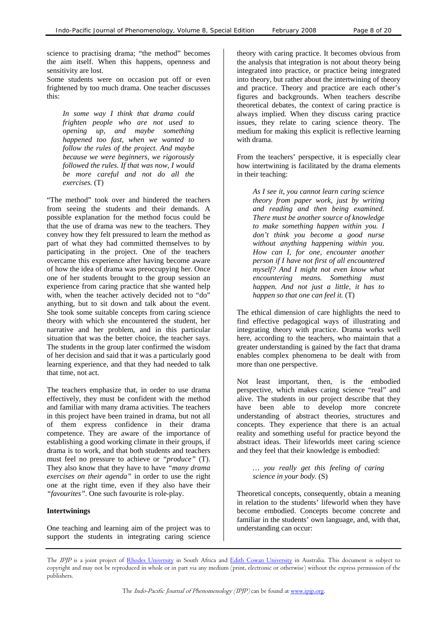science to practising drama; "the method" becomes the aim itself. When this happens, openness and sensitivity are lost.

Some students were on occasion put off or even frightened by too much drama. One teacher discusses this:

*In some way I think that drama could frighten people who are not used to opening up, and maybe something happened too fast, when we wanted to follow the rules of the project. And maybe because we were beginners, we rigorously followed the rules. If that was now, I would be more careful and not do all the exercises.* (T)

"The method" took over and hindered the teachers from seeing the students and their demands. A possible explanation for the method focus could be that the use of drama was new to the teachers. They convey how they felt pressured to learn the method as part of what they had committed themselves to by participating in the project. One of the teachers overcame this experience after having become aware of how the idea of drama was preoccupying her. Once one of her students brought to the group session an experience from caring practice that she wanted help with, when the teacher actively decided not to "do" anything, but to sit down and talk about the event. She took some suitable concepts from caring science theory with which she encountered the student, her narrative and her problem, and in this particular situation that was the better choice, the teacher says. The students in the group later confirmed the wisdom of her decision and said that it was a particularly good learning experience, and that they had needed to talk that time, not act.

The teachers emphasize that, in order to use drama effectively, they must be confident with the method and familiar with many drama activities. The teachers in this project have been trained in drama, but not all of them express confidence in their drama competence. They are aware of the importance of establishing a good working climate in their groups, if drama is to work, and that both students and teachers must feel no pressure to achieve or *"produce"* (T). They also know that they have to have *"many drama exercises on their agenda"* in order to use the right one at the right time, even if they also have their *"favourites"*. One such favourite is role-play.

## **Intertwinings**

One teaching and learning aim of the project was to support the students in integrating caring science

theory with caring practice. It becomes obvious from the analysis that integration is not about theory being integrated into practice, or practice being integrated into theory, but rather about the intertwining of theory and practice. Theory and practice are each other's figures and backgrounds. When teachers describe theoretical debates, the context of caring practice is always implied. When they discuss caring practice issues, they relate to caring science theory. The medium for making this explicit is reflective learning with drama.

From the teachers' perspective, it is especially clear how intertwining is facilitated by the drama elements in their teaching:

*As I see it, you cannot learn caring science theory from paper work, just by writing and reading and then being examined. There must be another source of knowledge to make something happen within you. I don't think you become a good nurse without anything happening within you. How can I, for one, encounter another person if I have not first of all encountered myself? And I might not even know what encountering means. Something must happen. And not just a little, it has to happen so that one can feel it.* (T)

The ethical dimension of care highlights the need to find effective pedagogical ways of illustrating and integrating theory with practice. Drama works well here, according to the teachers, who maintain that a greater understanding is gained by the fact that drama enables complex phenomena to be dealt with from more than one perspective.

Not least important, then, is the embodied perspective, which makes caring science "real" and alive. The students in our project describe that they have been able to develop more concrete understanding of abstract theories, structures and concepts. They experience that there is an actual reality and something useful for practice beyond the abstract ideas. Their lifeworlds meet caring science and they feel that their knowledge is embodied:

*… you really get this feeling of caring science in your body.* (S)

Theoretical concepts, consequently, obtain a meaning in relation to the students' lifeworld when they have become embodied. Concepts become concrete and familiar in the students' own language, and, with that, understanding can occur:

The IPJP is a joint project of Rhodes University in South Africa and Edith Cowan University in Australia. This document is subject to copyright and may not be reproduced in whole or in part via any medium (print, electronic or otherwise) without the express permission of the publishers.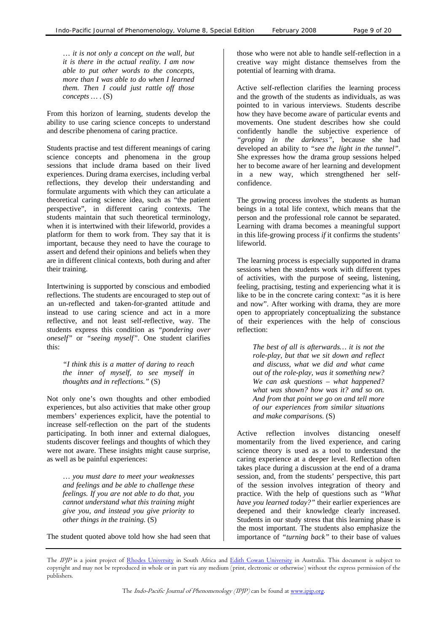… *it is not only a concept on the wall, but it is there in the actual reality. I am now able to put other words to the concepts, more than I was able to do when I learned them. Then I could just rattle off those concepts …* . (S)

From this horizon of learning, students develop the ability to use caring science concepts to understand and describe phenomena of caring practice.

Students practise and test different meanings of caring science concepts and phenomena in the group sessions that include drama based on their lived experiences. During drama exercises, including verbal reflections, they develop their understanding and formulate arguments with which they can articulate a theoretical caring science idea, such as "the patient perspective", in different caring contexts. The students maintain that such theoretical terminology, when it is intertwined with their lifeworld, provides a platform for them to work from. They say that it is important, because they need to have the courage to assert and defend their opinions and beliefs when they are in different clinical contexts, both during and after their training.

Intertwining is supported by conscious and embodied reflections. The students are encouraged to step out of an un-reflected and taken-for-granted attitude and instead to use caring science and act in a more reflective, and not least self-reflective, way. The students express this condition as *"pondering over oneself"* or *"seeing myself"*. One student clarifies this:

*"I think this is a matter of daring to reach the inner of myself, to see myself in thoughts and in reflections."* (S)

Not only one's own thoughts and other embodied experiences, but also activities that make other group members' experiences explicit, have the potential to increase self-reflection on the part of the students participating. In both inner and external dialogues, students discover feelings and thoughts of which they were not aware. These insights might cause surprise, as well as be painful experiences:

… *you must dare to meet your weaknesses and feelings and be able to challenge these feelings. If you are not able to do that, you cannot understand what this training might give you, and instead you give priority to other things in the training.* (S)

The student quoted above told how she had seen that

those who were not able to handle self-reflection in a creative way might distance themselves from the potential of learning with drama.

Active self-reflection clarifies the learning process and the growth of the students as individuals, as was pointed to in various interviews. Students describe how they have become aware of particular events and movements. One student describes how she could confidently handle the subjective experience of *"groping in the darkness"*, because she had developed an ability to *"see the light in the tunnel"*. She expresses how the drama group sessions helped her to become aware of her learning and development in a new way, which strengthened her selfconfidence.

The growing process involves the students as human beings in a total life context, which means that the person and the professional role cannot be separated. Learning with drama becomes a meaningful support in this life-growing process *if* it confirms the students' lifeworld.

The learning process is especially supported in drama sessions when the students work with different types of activities, with the purpose of seeing, listening, feeling, practising, testing and experiencing what it is like to be in the concrete caring context: "as it is here and now". After working with drama, they are more open to appropriately conceptualizing the substance of their experiences with the help of conscious reflection:

*The best of all is afterwards… it is not the role-play, but that we sit down and reflect and discuss, what we did and what came out of the role-play, was it something new? We can ask questions* – *what happened? what was shown? how was it? and so on. And from that point we go on and tell more of our experiences from similar situations and make comparisons.* (S)

Active reflection involves distancing oneself momentarily from the lived experience, and caring science theory is used as a tool to understand the caring experience at a deeper level. Reflection often takes place during a discussion at the end of a drama session, and, from the students' perspective, this part of the session involves integration of theory and practice. With the help of questions such as *"What have you learned today?"* their earlier experiences are deepened and their knowledge clearly increased. Students in our study stress that this learning phase is the most important. The students also emphasize the importance of *"turning back"* to their base of values

The IPJP is a joint project of Rhodes University in South Africa and Edith Cowan University in Australia. This document is subject to copyright and may not be reproduced in whole or in part via any medium (print, electronic or otherwise) without the express permission of the publishers.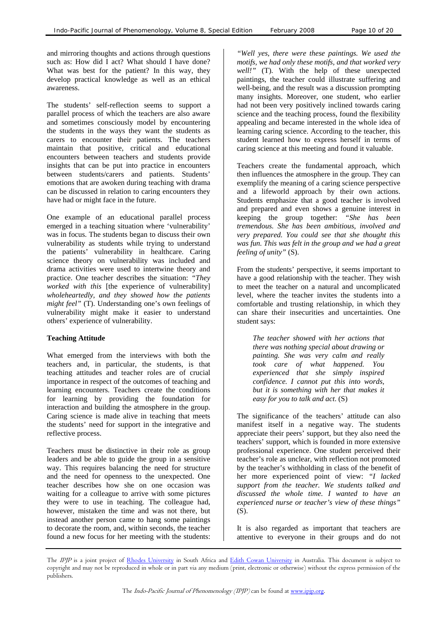and mirroring thoughts and actions through questions such as: How did I act? What should I have done? What was best for the patient? In this way, they develop practical knowledge as well as an ethical awareness.

The students' self-reflection seems to support a parallel process of which the teachers are also aware and sometimes consciously model by encountering the students in the ways they want the students as carers to encounter their patients. The teachers maintain that positive, critical and educational encounters between teachers and students provide insights that can be put into practice in encounters between students/carers and patients. Students' emotions that are awoken during teaching with drama can be discussed in relation to caring encounters they have had or might face in the future.

One example of an educational parallel process emerged in a teaching situation where 'vulnerability' was in focus. The students began to discuss their own vulnerability as students while trying to understand the patients' vulnerability in healthcare. Caring science theory on vulnerability was included and drama activities were used to intertwine theory and practice. One teacher describes the situation: *"They worked with this* [the experience of vulnerability] *wholeheartedly, and they showed how the patients might feel"* (T). Understanding one's own feelings of vulnerability might make it easier to understand others' experience of vulnerability.

## **Teaching Attitude**

What emerged from the interviews with both the teachers and, in particular, the students, is that teaching attitudes and teacher roles are of crucial importance in respect of the outcomes of teaching and learning encounters. Teachers create the conditions for learning by providing the foundation for interaction and building the atmosphere in the group. Caring science is made alive in teaching that meets the students' need for support in the integrative and reflective process.

Teachers must be distinctive in their role as group leaders and be able to guide the group in a sensitive way. This requires balancing the need for structure and the need for openness to the unexpected. One teacher describes how she on one occasion was waiting for a colleague to arrive with some pictures they were to use in teaching. The colleague had, however, mistaken the time and was not there, but instead another person came to hang some paintings to decorate the room, and, within seconds, the teacher found a new focus for her meeting with the students:

*"Well yes, there were these paintings. We used the motifs, we had only these motifs, and that worked very well!"* (T). With the help of these unexpected paintings, the teacher could illustrate suffering and well-being, and the result was a discussion prompting many insights. Moreover, one student, who earlier had not been very positively inclined towards caring science and the teaching process, found the flexibility appealing and became interested in the whole idea of learning caring science. According to the teacher, this student learned how to express herself in terms of caring science at this meeting and found it valuable.

Teachers create the fundamental approach, which then influences the atmosphere in the group. They can exemplify the meaning of a caring science perspective and a lifeworld approach by their own actions. Students emphasize that a good teacher is involved and prepared and even shows a genuine interest in keeping the group together: *"She has been tremendous. She has been ambitious, involved and very prepared. You could see that she thought this was fun. This was felt in the group and we had a great feeling of unity"* (S).

From the students' perspective, it seems important to have a good relationship with the teacher. They wish to meet the teacher on a natural and uncomplicated level, where the teacher invites the students into a comfortable and trusting relationship, in which they can share their insecurities and uncertainties. One student says:

*The teacher showed with her actions that there was nothing special about drawing or painting. She was very calm and really took care of what happened. You experienced that she simply inspired confidence. I cannot put this into words, but it is something with her that makes it easy for you to talk and act*. (S)

The significance of the teachers' attitude can also manifest itself in a negative way. The students appreciate their peers' support, but they also need the teachers' support, which is founded in more extensive professional experience. One student perceived their teacher's role as unclear, with reflection not promoted by the teacher's withholding in class of the benefit of her more experienced point of view: *"I lacked support from the teacher. We students talked and discussed the whole time. I wanted to have an experienced nurse or teacher's view of these things"* (S).

It is also regarded as important that teachers are attentive to everyone in their groups and do not

The IPJP is a joint project of Rhodes University in South Africa and Edith Cowan University in Australia. This document is subject to copyright and may not be reproduced in whole or in part via any medium (print, electronic or otherwise) without the express permission of the publishers.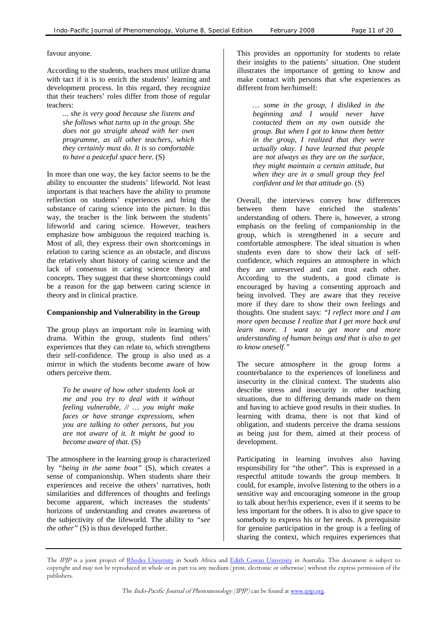favour anyone.

According to the students, teachers must utilize drama with tact if it is to enrich the students' learning and development process. In this regard, they recognize that their teachers' roles differ from those of regular teachers:

*... she is very good because she listens and she follows what turns up in the group. She does not go straight ahead with her own programme, as all other teachers, which they certainly must do. It is so comfortable to have a peaceful space here.* (S)

In more than one way, the key factor seems to be the ability to encounter the students' lifeworld. Not least important is that teachers have the ability to promote reflection on students' experiences and bring the substance of caring science into the picture. In this way, the teacher is the link between the students' lifeworld and caring science. However, teachers emphasize how ambiguous the required teaching is. Most of all, they express their own shortcomings in relation to caring science as an obstacle, and discuss the relatively short history of caring science and the lack of consensus in caring science theory and concepts. They suggest that these shortcomings could be a reason for the gap between caring science in theory and in clinical practice.

## **Companionship and Vulnerability in the Group**

The group plays an important role in learning with drama. Within the group, students find others' experiences that they can relate to, which strengthens their self-confidence. The group is also used as a mirror in which the students become aware of how others perceive them.

*To be aware of how other students look at me and you try to deal with it without feeling vulnerable, // … you might make faces or have strange expressions, when you are talking to other persons, but you are not aware of it. It might be good to become aware of that.* (S)

The atmosphere in the learning group is characterized by *"being in the same boat"* (S), which creates a sense of companionship. When students share their experiences and receive the others' narratives, both similarities and differences of thoughts and feelings become apparent, which increases the students' horizons of understanding and creates awareness of the subjectivity of the lifeworld. The ability to *"see the other"* (S) is thus developed further.

This provides an opportunity for students to relate their insights to the patients' situation. One student illustrates the importance of getting to know and make contact with persons that s/he experiences as different from her/himself:

*… some in the group, I disliked in the beginning and I would never have contacted them on my own outside the group. But when I got to know them better in the group, I realized that they were actually okay. I have learned that people are not always as they are on the surface, they might maintain a certain attitude, but when they are in a small group they feel confident and let that attitude go*. (S)

Overall, the interviews convey how differences between them have enriched the students' understanding of others. There is, however, a strong emphasis on the feeling of companionship in the group, which is strengthened in a secure and comfortable atmosphere. The ideal situation is when students even dare to show their lack of selfconfidence, which requires an atmosphere in which they are unreserved and can trust each other. According to the students, a good climate is encouraged by having a consenting approach and being involved. They are aware that they receive more if they dare to show their own feelings and thoughts. One student says: *"I reflect more and I am more open because I realize that I get more back and learn more. I want to get more and more understanding of human beings and that is also to get to know oneself."*

The secure atmosphere in the group forms a counterbalance to the experiences of loneliness and insecurity in the clinical context. The students also describe stress and insecurity in other teaching situations, due to differing demands made on them and having to achieve good results in their studies. In learning with drama, there is not that kind of obligation, and students perceive the drama sessions as being just for them, aimed at their process of development.

Participating in learning involves also having responsibility for "the other". This is expressed in a respectful attitude towards the group members. It could, for example, involve listening to the others in a sensitive way and encouraging someone in the group to talk about her/his experience, even if it seems to be less important for the others. It is also to give space to somebody to express his or her needs. A prerequisite for genuine participation in the group is a feeling of sharing the context, which requires experiences that

The IPJP is a joint project of Rhodes University in South Africa and Edith Cowan University in Australia. This document is subject to copyright and may not be reproduced in whole or in part via any medium (print, electronic or otherwise) without the express permission of the publishers.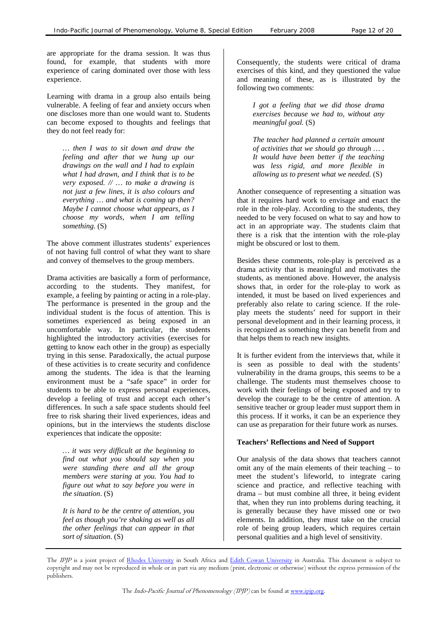are appropriate for the drama session. It was thus found, for example, that students with more experience of caring dominated over those with less experience.

Learning with drama in a group also entails being vulnerable. A feeling of fear and anxiety occurs when one discloses more than one would want to. Students can become exposed to thoughts and feelings that they do not feel ready for:

*… then I was to sit down and draw the feeling and after that we hung up our drawings on the wall and I had to explain what I had drawn, and I think that is to be very exposed. // … to make a drawing is not just a few lines, it is also colours and everything … and what is coming up then? Maybe I cannot choose what appears, as I choose my words, when I am telling something*. (S)

The above comment illustrates students' experiences of not having full control of what they want to share and convey of themselves to the group members.

Drama activities are basically a form of performance, according to the students. They manifest, for example, a feeling by painting or acting in a role-play. The performance is presented in the group and the individual student is the focus of attention. This is sometimes experienced as being exposed in an uncomfortable way. In particular, the students highlighted the introductory activities (exercises for getting to know each other in the group) as especially trying in this sense. Paradoxically, the actual purpose of these activities is to create security and confidence among the students. The idea is that the learning environment must be a "safe space" in order for students to be able to express personal experiences, develop a feeling of trust and accept each other's differences. In such a safe space students should feel free to risk sharing their lived experiences, ideas and opinions, but in the interviews the students disclose experiences that indicate the opposite:

*… it was very difficult at the beginning to find out what you should say when you were standing there and all the group members were staring at you. You had to figure out what to say before you were in the situation*. (S)

*It is hard to be the centre of attention, you feel as though you're shaking as well as all the other feelings that can appear in that sort of situation*. (S)

Consequently, the students were critical of drama exercises of this kind, and they questioned the value and meaning of these, as is illustrated by the following two comments:

*I got a feeling that we did those drama exercises because we had to, without any meaningful goal.* (S)

*The teacher had planned a certain amount of activities that we should go through … . It would have been better if the teaching was less rigid, and more flexible in allowing us to present what we needed.* (S)

Another consequence of representing a situation was that it requires hard work to envisage and enact the role in the role-play. According to the students, they needed to be very focused on what to say and how to act in an appropriate way. The students claim that there is a risk that the intention with the role-play might be obscured or lost to them.

Besides these comments, role-play is perceived as a drama activity that is meaningful and motivates the students, as mentioned above. However, the analysis shows that, in order for the role-play to work as intended, it must be based on lived experiences and preferably also relate to caring science. If the roleplay meets the students' need for support in their personal development and in their learning process, it is recognized as something they can benefit from and that helps them to reach new insights.

It is further evident from the interviews that, while it is seen as possible to deal with the students' vulnerability in the drama groups, this seems to be a challenge. The students must themselves choose to work with their feelings of being exposed and try to develop the courage to be the centre of attention. A sensitive teacher or group leader must support them in this process. If it works, it can be an experience they can use as preparation for their future work as nurses.

# **Teachers' Reflections and Need of Support**

Our analysis of the data shows that teachers cannot omit any of the main elements of their teaching – to meet the student's lifeworld, to integrate caring science and practice, and reflective teaching with drama – but must combine all three, it being evident that, when they run into problems during teaching, it is generally because they have missed one or two elements. In addition, they must take on the crucial role of being group leaders, which requires certain personal qualities and a high level of sensitivity.

The IPJP is a joint project of Rhodes University in South Africa and Edith Cowan University in Australia. This document is subject to copyright and may not be reproduced in whole or in part via any medium (print, electronic or otherwise) without the express permission of the publishers.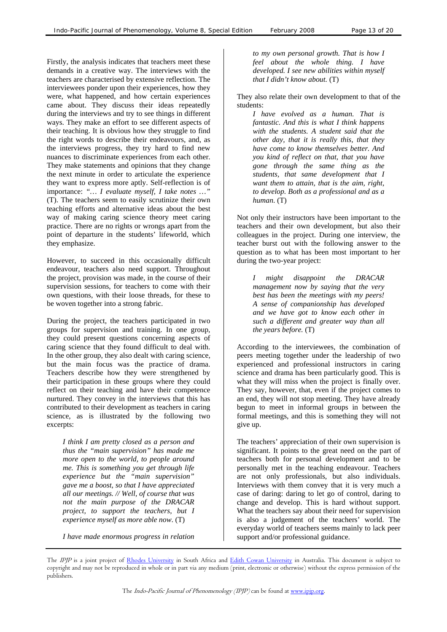Firstly, the analysis indicates that teachers meet these demands in a creative way. The interviews with the teachers are characterised by extensive reflection. The interviewees ponder upon their experiences, how they were, what happened, and how certain experiences came about. They discuss their ideas repeatedly during the interviews and try to see things in different ways. They make an effort to see different aspects of their teaching. It is obvious how they struggle to find the right words to describe their endeavours, and, as the interviews progress, they try hard to find new nuances to discriminate experiences from each other. They make statements and opinions that they change the next minute in order to articulate the experience they want to express more aptly. Self-reflection is of importance: *"… I evaluate myself, I take notes …"*  (T). The teachers seem to easily scrutinize their own teaching efforts and alternative ideas about the best way of making caring science theory meet caring practice. There are no rights or wrongs apart from the point of departure in the students' lifeworld, which they emphasize.

However, to succeed in this occasionally difficult endeavour, teachers also need support. Throughout the project, provision was made, in the course of their supervision sessions, for teachers to come with their own questions, with their loose threads, for these to be woven together into a strong fabric.

During the project, the teachers participated in two groups for supervision and training. In one group, they could present questions concerning aspects of caring science that they found difficult to deal with. In the other group, they also dealt with caring science, but the main focus was the practice of drama. Teachers describe how they were strengthened by their participation in these groups where they could reflect on their teaching and have their competence nurtured. They convey in the interviews that this has contributed to their development as teachers in caring science, as is illustrated by the following two excerpts:

*I think I am pretty closed as a person and thus the "main supervision" has made me more open to the world, to people around me. This is something you get through life experience but the "main supervision" gave me a boost, so that I have appreciated all our meetings. // Well, of course that was not the main purpose of the DRACAR project, to support the teachers, but I experience myself as more able now*. (T)

*I have made enormous progress in relation* 

*to my own personal growth. That is how I feel about the whole thing. I have developed. I see new abilities within myself that I didn't know about.* (T)

They also relate their own development to that of the students:

*I have evolved as a human. That is fantastic. And this is what I think happens with the students. A student said that the other day, that it is really this, that they have come to know themselves better. And you kind of reflect on that, that you have gone through the same thing as the students, that same development that I want them to attain, that is the aim, right, to develop. Both as a professional and as a human*. (T)

Not only their instructors have been important to the teachers and their own development, but also their colleagues in the project. During one interview, the teacher burst out with the following answer to the question as to what has been most important to her during the two-year project:

*I might disappoint the DRACAR management now by saying that the very best has been the meetings with my peers! A sense of companionship has developed and we have got to know each other in such a different and greater way than all the years before.* (T)

According to the interviewees, the combination of peers meeting together under the leadership of two experienced and professional instructors in caring science and drama has been particularly good. This is what they will miss when the project is finally over. They say, however, that, even if the project comes to an end, they will not stop meeting. They have already begun to meet in informal groups in between the formal meetings, and this is something they will not give up.

The teachers' appreciation of their own supervision is significant. It points to the great need on the part of teachers both for personal development and to be personally met in the teaching endeavour. Teachers are not only professionals, but also individuals. Interviews with them convey that it is very much a case of daring: daring to let go of control, daring to change and develop. This is hard without support. What the teachers say about their need for supervision is also a judgement of the teachers' world. The everyday world of teachers seems mainly to lack peer support and/or professional guidance.

The IPJP is a joint project of Rhodes University in South Africa and Edith Cowan University in Australia. This document is subject to copyright and may not be reproduced in whole or in part via any medium (print, electronic or otherwise) without the express permission of the publishers.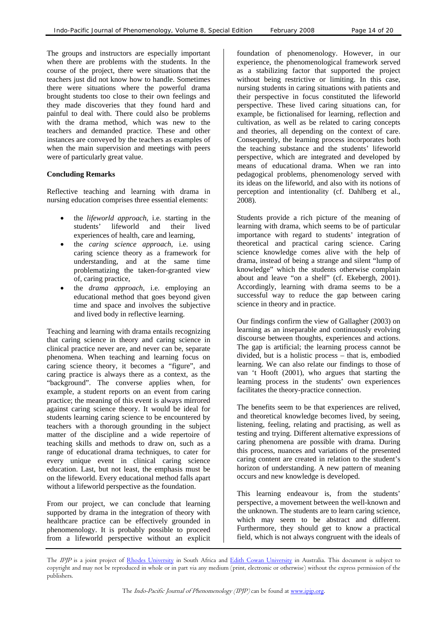The groups and instructors are especially important when there are problems with the students. In the course of the project, there were situations that the teachers just did not know how to handle. Sometimes there were situations where the powerful drama brought students too close to their own feelings and they made discoveries that they found hard and painful to deal with. There could also be problems with the drama method, which was new to the teachers and demanded practice. These and other instances are conveyed by the teachers as examples of when the main supervision and meetings with peers were of particularly great value.

# **Concluding Remarks**

Reflective teaching and learning with drama in nursing education comprises three essential elements:

- the *lifeworld approach,* i.e. starting in the students' lifeworld and their lived experiences of health, care and learning,
- the *caring science approach*, i.e. using caring science theory as a framework for understanding, and at the same time problematizing the taken-for-granted view of, caring practice,
- the *drama approach*, i.e. employing an educational method that goes beyond given time and space and involves the subjective and lived body in reflective learning.

Teaching and learning with drama entails recognizing that caring science in theory and caring science in clinical practice never are, and never can be, separate phenomena. When teaching and learning focus on caring science theory, it becomes a "figure", and caring practice is always there as a context, as the "background". The converse applies when, for example, a student reports on an event from caring practice; the meaning of this event is always mirrored against caring science theory. It would be ideal for students learning caring science to be encountered by teachers with a thorough grounding in the subject matter of the discipline and a wide repertoire of teaching skills and methods to draw on, such as a range of educational drama techniques, to cater for every unique event in clinical caring science education. Last, but not least, the emphasis must be on the lifeworld. Every educational method falls apart without a lifeworld perspective as the foundation.

From our project, we can conclude that learning supported by drama in the integration of theory with healthcare practice can be effectively grounded in phenomenology. It is probably possible to proceed from a lifeworld perspective without an explicit

foundation of phenomenology. However, in our experience, the phenomenological framework served as a stabilizing factor that supported the project without being restrictive or limiting. In this case, nursing students in caring situations with patients and their perspective in focus constituted the lifeworld perspective. These lived caring situations can, for example, be fictionalised for learning, reflection and cultivation, as well as be related to caring concepts and theories, all depending on the context of care. Consequently, the learning process incorporates both the teaching substance and the students' lifeworld perspective, which are integrated and developed by means of educational drama. When we ran into pedagogical problems, phenomenology served with its ideas on the lifeworld, and also with its notions of perception and intentionality (cf. Dahlberg et al., 2008).

Students provide a rich picture of the meaning of learning with drama, which seems to be of particular importance with regard to students' integration of theoretical and practical caring science. Caring science knowledge comes alive with the help of drama, instead of being a strange and silent "lump of knowledge" which the students otherwise complain about and leave "on a shelf" (cf. Ekebergh, 2001). Accordingly, learning with drama seems to be a successful way to reduce the gap between caring science in theory and in practice.

Our findings confirm the view of Gallagher (2003) on learning as an inseparable and continuously evolving discourse between thoughts, experiences and actions. The gap is artificial; the learning process cannot be divided, but is a holistic process – that is, embodied learning. We can also relate our findings to those of van 't Hooft (2001), who argues that starting the learning process in the students' own experiences facilitates the theory-practice connection.

The benefits seem to be that experiences are relived, and theoretical knowledge becomes lived, by seeing, listening, feeling, relating and practising, as well as testing and trying. Different alternative expressions of caring phenomena are possible with drama. During this process, nuances and variations of the presented caring content are created in relation to the student's horizon of understanding. A new pattern of meaning occurs and new knowledge is developed.

This learning endeavour is, from the students' perspective, a movement between the well-known and the unknown. The students are to learn caring science, which may seem to be abstract and different. Furthermore, they should get to know a practical field, which is not always congruent with the ideals of

The IPJP is a joint project of Rhodes University in South Africa and Edith Cowan University in Australia. This document is subject to copyright and may not be reproduced in whole or in part via any medium (print, electronic or otherwise) without the express permission of the publishers.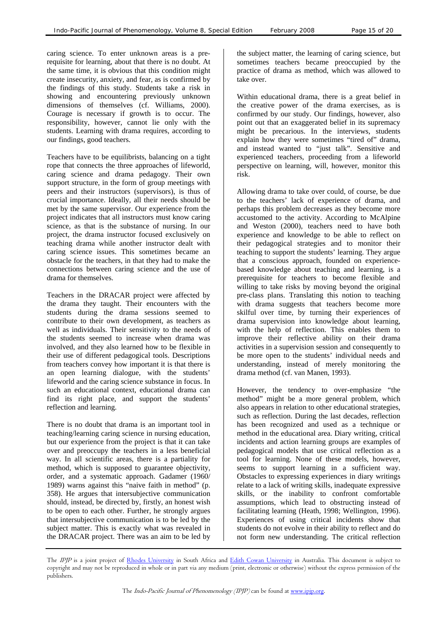caring science. To enter unknown areas is a prerequisite for learning, about that there is no doubt. At the same time, it is obvious that this condition might create insecurity, anxiety, and fear, as is confirmed by the findings of this study. Students take a risk in showing and encountering previously unknown dimensions of themselves (cf. Williams, 2000). Courage is necessary if growth is to occur. The responsibility, however, cannot lie only with the students. Learning with drama requires, according to our findings, good teachers.

Teachers have to be equilibrists, balancing on a tight rope that connects the three approaches of lifeworld, caring science and drama pedagogy. Their own support structure, in the form of group meetings with peers and their instructors (supervisors), is thus of crucial importance. Ideally, all their needs should be met by the same supervisor. Our experience from the project indicates that all instructors must know caring science, as that is the substance of nursing. In our project, the drama instructor focused exclusively on teaching drama while another instructor dealt with caring science issues. This sometimes became an obstacle for the teachers, in that they had to make the connections between caring science and the use of drama for themselves.

Teachers in the DRACAR project were affected by the drama they taught. Their encounters with the students during the drama sessions seemed to contribute to their own development, as teachers as well as individuals. Their sensitivity to the needs of the students seemed to increase when drama was involved, and they also learned how to be flexible in their use of different pedagogical tools. Descriptions from teachers convey how important it is that there is an open learning dialogue, with the students' lifeworld and the caring science substance in focus. In such an educational context, educational drama can find its right place, and support the students' reflection and learning.

There is no doubt that drama is an important tool in teaching/learning caring science in nursing education, but our experience from the project is that it can take over and preoccupy the teachers in a less beneficial way. In all scientific areas, there is a partiality for method, which is supposed to guarantee objectivity, order, and a systematic approach. Gadamer (1960/ 1989) warns against this "naive faith in method" (p. 358). He argues that intersubjective communication should, instead, be directed by, firstly, an honest wish to be open to each other. Further, he strongly argues that intersubjective communication is to be led by the subject matter. This is exactly what was revealed in the DRACAR project. There was an aim to be led by

the subject matter, the learning of caring science, but sometimes teachers became preoccupied by the practice of drama as method, which was allowed to take over.

Within educational drama, there is a great belief in the creative power of the drama exercises, as is confirmed by our study. Our findings, however, also point out that an exaggerated belief in its supremacy might be precarious. In the interviews, students explain how they were sometimes "tired of" drama, and instead wanted to "just talk". Sensitive and experienced teachers, proceeding from a lifeworld perspective on learning, will, however, monitor this risk.

Allowing drama to take over could, of course, be due to the teachers' lack of experience of drama, and perhaps this problem decreases as they become more accustomed to the activity. According to McAlpine and Weston (2000), teachers need to have both experience and knowledge to be able to reflect on their pedagogical strategies and to monitor their teaching to support the students' learning. They argue that a conscious approach, founded on experiencebased knowledge about teaching and learning, is a prerequisite for teachers to become flexible and willing to take risks by moving beyond the original pre-class plans. Translating this notion to teaching with drama suggests that teachers become more skilful over time, by turning their experiences of drama supervision into knowledge about learning, with the help of reflection. This enables them to improve their reflective ability on their drama activities in a supervision session and consequently to be more open to the students' individual needs and understanding, instead of merely monitoring the drama method (cf. van Manen, 1993).

However, the tendency to over-emphasize "the method" might be a more general problem, which also appears in relation to other educational strategies, such as reflection. During the last decades, reflection has been recognized and used as a technique or method in the educational area. Diary writing, critical incidents and action learning groups are examples of pedagogical models that use critical reflection as a tool for learning. None of these models, however, seems to support learning in a sufficient way. Obstacles to expressing experiences in diary writings relate to a lack of writing skills, inadequate expressive skills, or the inability to confront comfortable assumptions, which lead to obstructing instead of facilitating learning (Heath, 1998; Wellington, 1996). Experiences of using critical incidents show that students do not evolve in their ability to reflect and do not form new understanding. The critical reflection

The IPJP is a joint project of Rhodes University in South Africa and Edith Cowan University in Australia. This document is subject to copyright and may not be reproduced in whole or in part via any medium (print, electronic or otherwise) without the express permission of the publishers.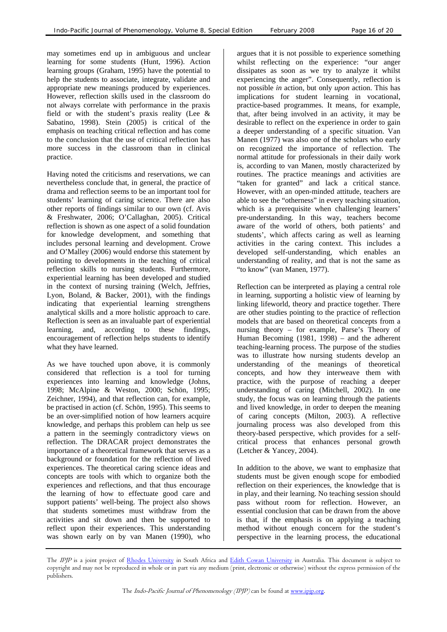may sometimes end up in ambiguous and unclear learning for some students (Hunt, 1996). Action learning groups (Graham, 1995) have the potential to help the students to associate, integrate, validate and appropriate new meanings produced by experiences. However, reflection skills used in the classroom do not always correlate with performance in the praxis field or with the student's praxis reality (Lee  $\&$ Sabatino, 1998). Stein (2005) is critical of the emphasis on teaching critical reflection and has come to the conclusion that the use of critical reflection has more success in the classroom than in clinical practice.

Having noted the criticisms and reservations, we can nevertheless conclude that, in general, the practice of drama and reflection seems to be an important tool for students' learning of caring science. There are also other reports of findings similar to our own (cf. Avis & Freshwater, 2006; O'Callaghan, 2005). Critical reflection is shown as one aspect of a solid foundation for knowledge development, and something that includes personal learning and development. Crowe and O'Malley (2006) would endorse this statement by pointing to developments in the teaching of critical reflection skills to nursing students. Furthermore, experiential learning has been developed and studied in the context of nursing training (Welch, Jeffries, Lyon, Boland, & Backer, 2001), with the findings indicating that experiential learning strengthens analytical skills and a more holistic approach to care. Reflection is seen as an invaluable part of experiential learning, and, according to these findings, encouragement of reflection helps students to identify what they have learned.

As we have touched upon above, it is commonly considered that reflection is a tool for turning experiences into learning and knowledge (Johns, 1998; McAlpine & Weston, 2000; Schön, 1995; Zeichner, 1994), and that reflection can, for example, be practised in action (cf. Schön, 1995). This seems to be an over-simplified notion of how learners acquire knowledge, and perhaps this problem can help us see a pattern in the seemingly contradictory views on reflection. The DRACAR project demonstrates the importance of a theoretical framework that serves as a background or foundation for the reflection of lived experiences. The theoretical caring science ideas and concepts are tools with which to organize both the experiences and reflections, and that thus encourage the learning of how to effectuate good care and support patients' well-being. The project also shows that students sometimes must withdraw from the activities and sit down and then be supported to reflect upon their experiences. This understanding was shown early on by van Manen (1990), who

argues that it is not possible to experience something whilst reflecting on the experience: "our anger dissipates as soon as we try to analyze it whilst experiencing the anger". Consequently, reflection is not possible *in* action, but only *upon* action. This has implications for student learning in vocational, practice-based programmes. It means, for example, that, after being involved in an activity, it may be desirable to reflect on the experience in order to gain a deeper understanding of a specific situation. Van Manen (1977) was also one of the scholars who early on recognized the importance of reflection. The normal attitude for professionals in their daily work is, according to van Manen, mostly characterized by routines. The practice meanings and activities are "taken for granted" and lack a critical stance. However, with an open-minded attitude, teachers are able to see the "otherness" in every teaching situation, which is a prerequisite when challenging learners' pre-understanding. In this way, teachers become aware of the world of others, both patients' and students', which affects caring as well as learning activities in the caring context. This includes a developed self-understanding, which enables an understanding of reality, and that is not the same as "to know" (van Manen, 1977).

Reflection can be interpreted as playing a central role in learning, supporting a holistic view of learning by linking lifeworld, theory and practice together. There are other studies pointing to the practice of reflection models that are based on theoretical concepts from a nursing theory – for example, Parse's Theory of Human Becoming (1981, 1998) – and the adherent teaching-learning process. The purpose of the studies was to illustrate how nursing students develop an understanding of the meanings of theoretical concepts, and how they interweave them with practice, with the purpose of reaching a deeper understanding of caring (Mitchell, 2002). In one study, the focus was on learning through the patients and lived knowledge, in order to deepen the meaning of caring concepts (Milton, 2003). A reflective journaling process was also developed from this theory-based perspective, which provides for a selfcritical process that enhances personal growth (Letcher & Yancey, 2004).

In addition to the above, we want to emphasize that students must be given enough scope for embodied reflection on their experiences, the knowledge that is in play, and their learning. No teaching session should pass without room for reflection. However, an essential conclusion that can be drawn from the above is that, if the emphasis is on applying a teaching method without enough concern for the student's perspective in the learning process, the educational

The IPJP is a joint project of Rhodes University in South Africa and Edith Cowan University in Australia. This document is subject to copyright and may not be reproduced in whole or in part via any medium (print, electronic or otherwise) without the express permission of the publishers.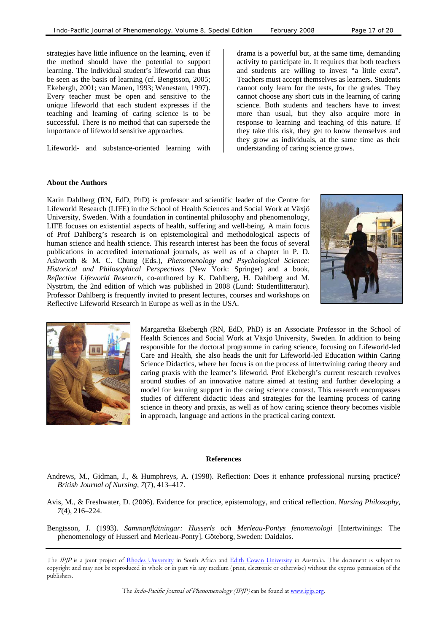strategies have little influence on the learning, even if the method should have the potential to support learning. The individual student's lifeworld can thus be seen as the basis of learning (cf. Bengtsson, 2005; Ekebergh, 2001; van Manen, 1993; Wenestam, 1997). Every teacher must be open and sensitive to the unique lifeworld that each student expresses if the teaching and learning of caring science is to be successful. There is no method that can supersede the importance of lifeworld sensitive approaches.

Lifeworld- and substance-oriented learning with

drama is a powerful but, at the same time, demanding activity to participate in. It requires that both teachers and students are willing to invest "a little extra". Teachers must accept themselves as learners. Students cannot only learn for the tests, for the grades. They cannot choose any short cuts in the learning of caring science. Both students and teachers have to invest more than usual, but they also acquire more in response to learning and teaching of this nature. If they take this risk, they get to know themselves and they grow as individuals, at the same time as their understanding of caring science grows.

#### **About the Authors**

Karin Dahlberg (RN, EdD, PhD) is professor and scientific leader of the Centre for Lifeworld Research (LIFE) in the School of Health Sciences and Social Work at Växjö University, Sweden. With a foundation in continental philosophy and phenomenology, LIFE focuses on existential aspects of health, suffering and well-being. A main focus of Prof Dahlberg's research is on epistemological and methodological aspects of human science and health science. This research interest has been the focus of several publications in accredited international journals, as well as of a chapter in P. D. Ashworth & M. C. Chung (Eds.), *Phenomenology and Psychological Science: Historical and Philosophical Perspectives* (New York: Springer) and a book, *Reflective Lifeworld Research*, co-authored by K. Dahlberg, H. Dahlberg and M. Nyström, the 2nd edition of which was published in 2008 (Lund: Studentlitteratur). Professor Dahlberg is frequently invited to present lectures, courses and workshops on Reflective Lifeworld Research in Europe as well as in the USA.





Margaretha Ekebergh (RN, EdD, PhD) is an Associate Professor in the School of Health Sciences and Social Work at Växjö University, Sweden. In addition to being responsible for the doctoral programme in caring science, focusing on Lifeworld-led Care and Health, she also heads the unit for Lifeworld-led Education within Caring Science Didactics, where her focus is on the process of intertwining caring theory and caring praxis with the learner's lifeworld. Prof Ekebergh's current research revolves around studies of an innovative nature aimed at testing and further developing a model for learning support in the caring science context. This research encompasses studies of different didactic ideas and strategies for the learning process of caring science in theory and praxis, as well as of how caring science theory becomes visible in approach, language and actions in the practical caring context.

#### **References**

- Andrews, M., Gidman, J., & Humphreys, A. (1998). Reflection: Does it enhance professional nursing practice? *British Journal of Nursing, 7*(7), 413–417.
- Avis, M., & Freshwater, D. (2006). Evidence for practice, epistemology, and critical reflection. *Nursing Philosophy, 7*(4), 216–224.
- Bengtsson, J. (1993). *Sammanflätningar: Husserls och Merleau-Pontys fenomenologi* [Intertwinings: The phenomenology of Husserl and Merleau-Ponty]. Göteborg, Sweden: Daidalos.

The IPJP is a joint project of Rhodes University in South Africa and Edith Cowan University in Australia. This document is subject to copyright and may not be reproduced in whole or in part via any medium (print, electronic or otherwise) without the express permission of the publishers.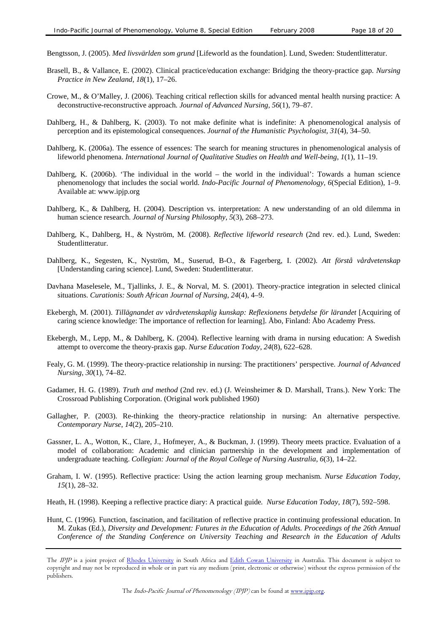Bengtsson, J. (2005). *Med livsvärlden som grund* [Lifeworld as the foundation]. Lund, Sweden: Studentlitteratur.

- Brasell, B., & Vallance, E. (2002). Clinical practice/education exchange: Bridging the theory-practice gap. *Nursing Practice in New Zealand, 18*(1), 17–26.
- Crowe, M., & O'Malley, J. (2006). Teaching critical reflection skills for advanced mental health nursing practice: A deconstructive-reconstructive approach*. Journal of Advanced Nursing, 56*(1), 79–87.
- Dahlberg, H., & Dahlberg, K. (2003). To not make definite what is indefinite: A phenomenological analysis of perception and its epistemological consequences. *Journal of the Humanistic Psychologist, 31*(4), 34–50.
- Dahlberg, K. (2006a). The essence of essences: The search for meaning structures in phenomenological analysis of lifeworld phenomena. *International Journal of Qualitative Studies on Health and Well-being*, *1*(1), 11–19.
- Dahlberg, K. (2006b). 'The individual in the world the world in the individual': Towards a human science phenomenology that includes the social world. *Indo-Pacific Journal of Phenomenology, 6*(Special Edition), 1–9. Available at: www.ipjp.org
- Dahlberg, K., & Dahlberg, H. (2004). Description vs. interpretation: A new understanding of an old dilemma in human science research. *Journal of Nursing Philosophy, 5*(3), 268–273.
- Dahlberg, K., Dahlberg, H., & Nyström, M. (2008). *Reflective lifeworld research* (2nd rev. ed.). Lund, Sweden: Studentlitteratur.
- Dahlberg, K., Segesten, K., Nyström, M., Suserud, B-O., & Fagerberg, I. (2002). *Att förstå vårdvetenskap* [Understanding caring science]. Lund, Sweden: Studentlitteratur.
- Davhana Maselesele, M., Tjallinks, J. E., & Norval, M. S. (2001). Theory-practice integration in selected clinical situations. *Curationis: South African Journal of Nursing*, *24*(4), 4–9.
- Ekebergh, M. (2001). *Tillägnandet av vårdvetenskaplig kunskap: Reflexionens betydelse för lärandet* [Acquiring of caring science knowledge: The importance of reflection for learning]. Åbo, Finland: Åbo Academy Press.
- Ekebergh, M., Lepp, M., & Dahlberg, K. (2004). Reflective learning with drama in nursing education: A Swedish attempt to overcome the theory-praxis gap. *Nurse Education Today*, *24*(8), 622–628.
- Fealy, G. M. (1999). The theory-practice relationship in nursing: The practitioners' perspective. *Journal of Advanced Nursing*, *30*(1), 74–82.
- Gadamer, H. G. (1989). *Truth and method* (2nd rev. ed.) (J. Weinsheimer & D. Marshall, Trans.). New York: The Crossroad Publishing Corporation. (Original work published 1960)
- Gallagher, P. (2003). Re-thinking the theory-practice relationship in nursing: An alternative perspective*. Contemporary Nurse*, *14*(2), 205–210.
- Gassner, L. A., Wotton, K., Clare, J., Hofmeyer, A., & Buckman, J. (1999). Theory meets practice. Evaluation of a model of collaboration: Academic and clinician partnership in the development and implementation of undergraduate teaching. *Collegian: Journal of the Royal College of Nursing Australia*, *6*(3), 14–22.
- Graham, I. W. (1995). Reflective practice: Using the action learning group mechanism. *Nurse Education Today*, *15*(1), 28–32.
- Heath, H. (1998). Keeping a reflective practice diary: A practical guide*. Nurse Education Today*, *18*(7), 592–598.
- Hunt, C. (1996). Function, fascination, and facilitation of reflective practice in continuing professional education. In M. Zukas (Ed.), *Diversity and Development: Futures in the Education of Adults. Proceedings of the 26th Annual Conference of the Standing Conference on University Teaching and Research in the Education of Adults*

The IPJP is a joint project of Rhodes University in South Africa and Edith Cowan University in Australia. This document is subject to copyright and may not be reproduced in whole or in part via any medium (print, electronic or otherwise) without the express permission of the publishers.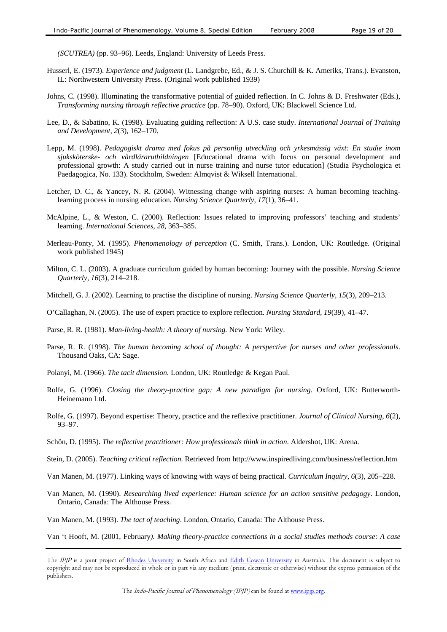*(SCUTREA)* (pp. 93–96). Leeds, England: University of Leeds Press.

- Husserl, E. (1973). *Experience and judgment* (L. Landgrebe, Ed., & J. S. Churchill & K. Ameriks, Trans.). Evanston, IL: Northwestern University Press. (Original work published 1939)
- Johns, C. (1998). Illuminating the transformative potential of guided reflection. In C. Johns & D. Freshwater (Eds.), *Transforming nursing through reflective practice* (pp. 78–90). Oxford, UK: Blackwell Science Ltd.
- Lee, D., & Sabatino, K. (1998). Evaluating guiding reflection: A U.S. case study. *International Journal of Training and Development, 2*(3), 162–170.
- Lepp, M. (1998). *Pedagogiskt drama med fokus på personlig utveckling och yrkesmässig växt: En studie inom sjuksköterske- och vårdlärarutbildningen* [Educational drama with focus on personal development and professional growth: A study carried out in nurse training and nurse tutor education] (Studia Psychologica et Paedagogica, No. 133). Stockholm, Sweden: Almqvist & Wiksell International.
- Letcher, D. C., & Yancey, N. R. (2004). Witnessing change with aspiring nurses: A human becoming teachinglearning process in nursing education. *Nursing Science Quarterly, 17*(1), 36–41.
- McAlpine, L., & Weston, C. (2000). Reflection: Issues related to improving professors' teaching and students' learning. *International Sciences*, *28*, 363–385.
- Merleau-Ponty, M. (1995). *Phenomenology of perception* (C. Smith, Trans.). London, UK: Routledge. (Original work published 1945)
- Milton, C. L. (2003). A graduate curriculum guided by human becoming: Journey with the possible. *Nursing Science Quarterly, 16*(3), 214–218.
- Mitchell, G. J. (2002). Learning to practise the discipline of nursing. *Nursing Science Quarterly, 15*(3), 209–213.

O'Callaghan, N. (2005). The use of expert practice to explore reflection*. Nursing Standard, 19*(39), 41–47.

Parse, R. R. (1981). *Man-living-health: A theory of nursing.* New York: Wiley.

- Parse, R. R. (1998). *The human becoming school of thought: A perspective for nurses and other professionals*. Thousand Oaks, CA: Sage.
- Polanyi, M. (1966). *The tacit dimension.* London, UK: Routledge & Kegan Paul.
- Rolfe, G. (1996). *Closing the theory-practice gap: A new paradigm for nursing*. Oxford, UK: Butterworth-Heinemann Ltd.
- Rolfe, G. (1997). Beyond expertise: Theory, practice and the reflexive practitioner. *Journal of Clinical Nursing*, *6*(2)*,* 93–97.
- Schön, D. (1995). *The reflective practitioner: How professionals think in action*. Aldershot, UK: Arena.
- Stein, D. (2005). *Teaching critical reflection.* Retrieved from http://www.inspiredliving.com/business/reflection.htm
- Van Manen, M. (1977). Linking ways of knowing with ways of being practical. *Curriculum Inquiry*, *6*(3), 205–228.
- Van Manen, M. (1990). *Researching lived experience: Human science for an action sensitive pedagogy*. London, Ontario, Canada: The Althouse Press.

Van Manen, M. (1993). *The tact of teaching*. London, Ontario, Canada: The Althouse Press.

Van 't Hooft, M. (2001, February*). Making theory-practice connections in a social studies methods course: A case* 

The IPJP is a joint project of Rhodes University in South Africa and Edith Cowan University in Australia. This document is subject to copyright and may not be reproduced in whole or in part via any medium (print, electronic or otherwise) without the express permission of the publishers.